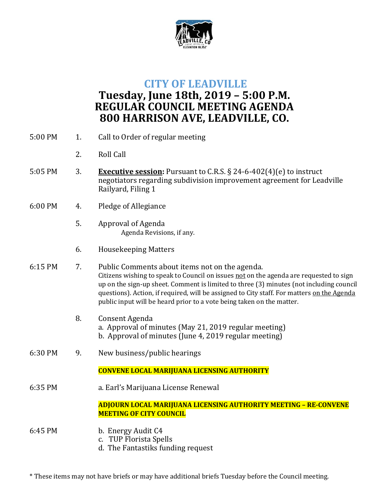

## **CITY OF LEADVILLE**

## **Tuesday, June 18th, 2019 – 5:00 P.M. REGULAR COUNCIL MEETING AGENDA 800 HARRISON AVE, LEADVILLE, CO.**

| 5:00 PM | 1. | Call to Order of regular meeting                                                                                                                                                                                                                                                                                                                                                                           |
|---------|----|------------------------------------------------------------------------------------------------------------------------------------------------------------------------------------------------------------------------------------------------------------------------------------------------------------------------------------------------------------------------------------------------------------|
|         | 2. | <b>Roll Call</b>                                                                                                                                                                                                                                                                                                                                                                                           |
| 5:05 PM | 3. | <b>Executive session:</b> Pursuant to C.R.S. $\S$ 24-6-402(4)(e) to instruct<br>negotiators regarding subdivision improvement agreement for Leadville<br>Railyard, Filing 1                                                                                                                                                                                                                                |
| 6:00 PM | 4. | Pledge of Allegiance                                                                                                                                                                                                                                                                                                                                                                                       |
|         | 5. | Approval of Agenda<br>Agenda Revisions, if any.                                                                                                                                                                                                                                                                                                                                                            |
|         | 6. | <b>Housekeeping Matters</b>                                                                                                                                                                                                                                                                                                                                                                                |
| 6:15 PM | 7. | Public Comments about items not on the agenda.<br>Citizens wishing to speak to Council on issues not on the agenda are requested to sign<br>up on the sign-up sheet. Comment is limited to three (3) minutes (not including council<br>questions). Action, if required, will be assigned to City staff. For matters on the Agenda<br>public input will be heard prior to a vote being taken on the matter. |
|         | 8. | Consent Agenda<br>a. Approval of minutes (May 21, 2019 regular meeting)<br>b. Approval of minutes (June 4, 2019 regular meeting)                                                                                                                                                                                                                                                                           |
| 6:30 PM | 9. | New business/public hearings                                                                                                                                                                                                                                                                                                                                                                               |
|         |    | <b>CONVENE LOCAL MARIJUANA LICENSING AUTHORITY</b>                                                                                                                                                                                                                                                                                                                                                         |
| 6:35 PM |    | a. Earl's Marijuana License Renewal                                                                                                                                                                                                                                                                                                                                                                        |
|         |    | ADJOURN LOCAL MARIJUANA LICENSING AUTHORITY MEETING - RE-CONVENE<br><b>MEETING OF CITY COUNCIL</b>                                                                                                                                                                                                                                                                                                         |
| 6:45 PM |    | b. Energy Audit C4<br>c. TUP Florista Spells<br>d. The Fantastiks funding request                                                                                                                                                                                                                                                                                                                          |

\* These items may not have briefs or may have additional briefs Tuesday before the Council meeting.